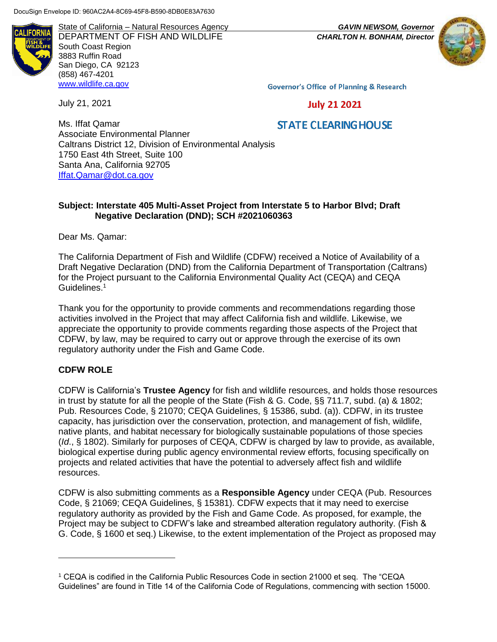AI IFORNI.

State of California – Natural Resources Agency *GAVIN NEWSOM, Governor* DEPARTMENT OF FISH AND WILDLIFE *CHARLTON H. BONHAM, Director*  South Coast Region 3883 Ruffin Road San Diego, CA 92123 (858) 467-4201 [www.wildlife.ca.gov](http://www.cdfw.ca.gov/)



**Governor's Office of Planning & Research** 

July 21, 2021

**STATE CLEARING HOUSE** 

**July 21 2021** 

Ms. Iffat Qamar Associate Environmental Planner Caltrans District 12, Division of Environmental Analysis 1750 East 4th Street, Suite 100 Santa Ana, California 92705 [Iffat.Qamar@dot.ca.gov](mailto:Iffat.Qamar@dot.ca.gov)

#### **Subject: Interstate 405 Multi-Asset Project from Interstate 5 to Harbor Blvd; Draft Negative Declaration (DND); SCH #2021060363**

Dear Ms. Qamar:

The California Department of Fish and Wildlife (CDFW) received a Notice of Availability of a Draft Negative Declaration (DND) from the California Department of Transportation (Caltrans) for the Project pursuant to the California Environmental Quality Act (CEQA) and CEQA Guidelines.<sup>1</sup>

Thank you for the opportunity to provide comments and recommendations regarding those activities involved in the Project that may affect California fish and wildlife. Likewise, we appreciate the opportunity to provide comments regarding those aspects of the Project that CDFW, by law, may be required to carry out or approve through the exercise of its own regulatory authority under the Fish and Game Code.

#### **CDFW ROLE**

 $\overline{a}$ 

CDFW is California's **Trustee Agency** for fish and wildlife resources, and holds those resources in trust by statute for all the people of the State (Fish & G. Code, §§ 711.7, subd. (a) & 1802; Pub. Resources Code, § 21070; CEQA Guidelines, § 15386, subd. (a)). CDFW, in its trustee capacity, has jurisdiction over the conservation, protection, and management of fish, wildlife, native plants, and habitat necessary for biologically sustainable populations of those species (*Id*., § 1802). Similarly for purposes of CEQA, CDFW is charged by law to provide, as available, biological expertise during public agency environmental review efforts, focusing specifically on projects and related activities that have the potential to adversely affect fish and wildlife resources.

CDFW is also submitting comments as a **Responsible Agency** under CEQA (Pub. Resources Code, § 21069; CEQA Guidelines, § 15381). CDFW expects that it may need to exercise regulatory authority as provided by the Fish and Game Code. As proposed, for example, the Project may be subject to CDFW's lake and streambed alteration regulatory authority. (Fish & G. Code, § 1600 et seq.) Likewise, to the extent implementation of the Project as proposed may

<sup>1</sup> CEQA is codified in the California Public Resources Code in section 21000 et seq. The "CEQA Guidelines" are found in Title 14 of the California Code of Regulations, commencing with section 15000.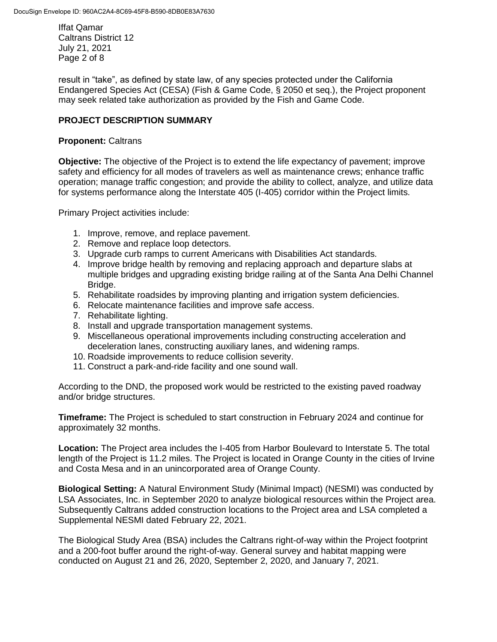Iffat Qamar Caltrans District 12 July 21, 2021 Page 2 of 8

result in "take", as defined by state law, of any species protected under the California Endangered Species Act (CESA) (Fish & Game Code, § 2050 et seq.), the Project proponent may seek related take authorization as provided by the Fish and Game Code.

## **PROJECT DESCRIPTION SUMMARY**

# **Proponent:** Caltrans

**Objective:** The objective of the Project is to extend the life expectancy of pavement; improve safety and efficiency for all modes of travelers as well as maintenance crews; enhance traffic operation; manage traffic congestion; and provide the ability to collect, analyze, and utilize data for systems performance along the Interstate 405 (I-405) corridor within the Project limits.

Primary Project activities include:

- 1. Improve, remove, and replace pavement.
- 2. Remove and replace loop detectors.
- 3. Upgrade curb ramps to current Americans with Disabilities Act standards.
- 4. Improve bridge health by removing and replacing approach and departure slabs at multiple bridges and upgrading existing bridge railing at of the Santa Ana Delhi Channel Bridge.
- 5. Rehabilitate roadsides by improving planting and irrigation system deficiencies.
- 6. Relocate maintenance facilities and improve safe access.
- 7. Rehabilitate lighting.
- 8. Install and upgrade transportation management systems.
- 9. Miscellaneous operational improvements including constructing acceleration and deceleration lanes, constructing auxiliary lanes, and widening ramps.
- 10. Roadside improvements to reduce collision severity.
- 11. Construct a park-and-ride facility and one sound wall.

According to the DND, the proposed work would be restricted to the existing paved roadway and/or bridge structures.

**Timeframe:** The Project is scheduled to start construction in February 2024 and continue for approximately 32 months.

**Location:** The Project area includes the I-405 from Harbor Boulevard to Interstate 5. The total length of the Project is 11.2 miles. The Project is located in Orange County in the cities of Irvine and Costa Mesa and in an unincorporated area of Orange County.

**Biological Setting:** A Natural Environment Study (Minimal Impact) (NESMI) was conducted by LSA Associates, Inc. in September 2020 to analyze biological resources within the Project area. Subsequently Caltrans added construction locations to the Project area and LSA completed a Supplemental NESMI dated February 22, 2021.

The Biological Study Area (BSA) includes the Caltrans right-of-way within the Project footprint and a 200-foot buffer around the right-of-way. General survey and habitat mapping were conducted on August 21 and 26, 2020, September 2, 2020, and January 7, 2021.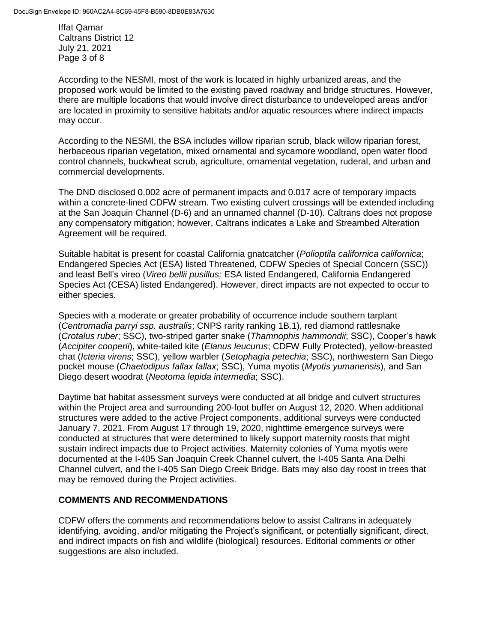Iffat Qamar Caltrans District 12 July 21, 2021 Page 3 of 8

According to the NESMI, most of the work is located in highly urbanized areas, and the proposed work would be limited to the existing paved roadway and bridge structures. However, there are multiple locations that would involve direct disturbance to undeveloped areas and/or are located in proximity to sensitive habitats and/or aquatic resources where indirect impacts may occur.

According to the NESMI, the BSA includes willow riparian scrub, black willow riparian forest, herbaceous riparian vegetation, mixed ornamental and sycamore woodland, open water flood control channels, buckwheat scrub, agriculture, ornamental vegetation, ruderal, and urban and commercial developments.

The DND disclosed 0.002 acre of permanent impacts and 0.017 acre of temporary impacts within a concrete-lined CDFW stream. Two existing culvert crossings will be extended including at the San Joaquin Channel (D-6) and an unnamed channel (D-10). Caltrans does not propose any compensatory mitigation; however, Caltrans indicates a Lake and Streambed Alteration Agreement will be required.

Suitable habitat is present for coastal California gnatcatcher (*Polioptila californica californica*; Endangered Species Act (ESA) listed Threatened, CDFW Species of Special Concern (SSC)) and least Bell's vireo (*Vireo bellii pusillus;* ESA listed Endangered, California Endangered Species Act (CESA) listed Endangered). However, direct impacts are not expected to occur to either species.

Species with a moderate or greater probability of occurrence include southern tarplant (*Centromadia parryi ssp. australis*; CNPS rarity ranking 1B.1), red diamond rattlesnake (*Crotalus ruber*; SSC), two-striped garter snake (*Thamnophis hammondii*; SSC), Cooper's hawk (*Accipiter cooperii*), white-tailed kite (*Elanus leucurus*; CDFW Fully Protected), yellow-breasted chat (*Icteria virens*; SSC), yellow warbler (*Setophagia petechia*; SSC), northwestern San Diego pocket mouse (*Chaetodipus fallax fallax*; SSC), Yuma myotis (*Myotis yumanensis*), and San Diego desert woodrat (*Neotoma lepida intermedia*; SSC).

Daytime bat habitat assessment surveys were conducted at all bridge and culvert structures within the Project area and surrounding 200-foot buffer on August 12, 2020. When additional structures were added to the active Project components, additional surveys were conducted January 7, 2021. From August 17 through 19, 2020, nighttime emergence surveys were conducted at structures that were determined to likely support maternity roosts that might sustain indirect impacts due to Project activities. Maternity colonies of Yuma myotis were documented at the I-405 San Joaquin Creek Channel culvert, the I-405 Santa Ana Delhi Channel culvert, and the I-405 San Diego Creek Bridge. Bats may also day roost in trees that may be removed during the Project activities.

## **COMMENTS AND RECOMMENDATIONS**

CDFW offers the comments and recommendations below to assist Caltrans in adequately identifying, avoiding, and/or mitigating the Project's significant, or potentially significant, direct, and indirect impacts on fish and wildlife (biological) resources. Editorial comments or other suggestions are also included.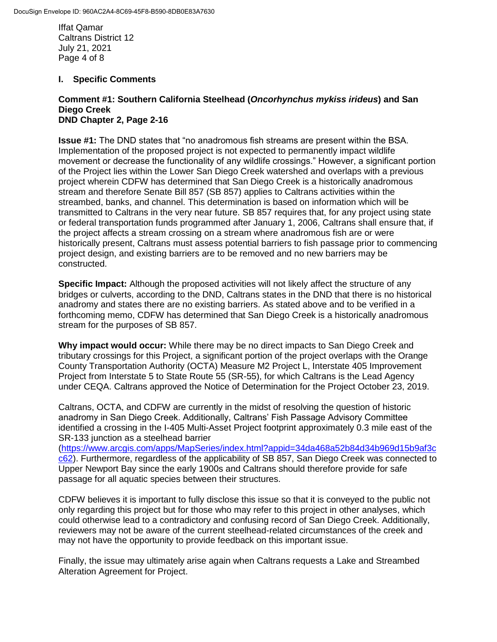Iffat Qamar Caltrans District 12 July 21, 2021 Page 4 of 8

#### **I. Specific Comments**

#### **Comment #1: Southern California Steelhead (***Oncorhynchus mykiss irideus***) and San Diego Creek DND Chapter 2, Page 2-16**

**Issue #1:** The DND states that "no anadromous fish streams are present within the BSA. Implementation of the proposed project is not expected to permanently impact wildlife movement or decrease the functionality of any wildlife crossings." However, a significant portion of the Project lies within the Lower San Diego Creek watershed and overlaps with a previous project wherein CDFW has determined that San Diego Creek is a historically anadromous stream and therefore Senate Bill 857 (SB 857) applies to Caltrans activities within the streambed, banks, and channel. This determination is based on information which will be transmitted to Caltrans in the very near future. SB 857 requires that, for any project using state or federal transportation funds programmed after January 1, 2006, Caltrans shall ensure that, if the project affects a stream crossing on a stream where anadromous fish are or were historically present, Caltrans must assess potential barriers to fish passage prior to commencing project design, and existing barriers are to be removed and no new barriers may be constructed.

**Specific Impact:** Although the proposed activities will not likely affect the structure of any bridges or culverts, according to the DND, Caltrans states in the DND that there is no historical anadromy and states there are no existing barriers. As stated above and to be verified in a forthcoming memo, CDFW has determined that San Diego Creek is a historically anadromous stream for the purposes of SB 857.

**Why impact would occur:** While there may be no direct impacts to San Diego Creek and tributary crossings for this Project, a significant portion of the project overlaps with the Orange County Transportation Authority (OCTA) Measure M2 Project L, Interstate 405 Improvement Project from Interstate 5 to State Route 55 (SR-55), for which Caltrans is the Lead Agency under CEQA. Caltrans approved the Notice of Determination for the Project October 23, 2019.

Caltrans, OCTA, and CDFW are currently in the midst of resolving the question of historic anadromy in San Diego Creek. Additionally, Caltrans' Fish Passage Advisory Committee identified a crossing in the I-405 Multi-Asset Project footprint approximately 0.3 mile east of the SR-133 junction as a steelhead barrier

[\(https://www.arcgis.com/apps/MapSeries/index.html?appid=34da468a52b84d34b969d15b9af3c](https://www.arcgis.com/apps/MapSeries/index.html?appid=34da468a52b84d34b969d15b9af3cc62) [c62\)](https://www.arcgis.com/apps/MapSeries/index.html?appid=34da468a52b84d34b969d15b9af3cc62). Furthermore, regardless of the applicability of SB 857, San Diego Creek was connected to Upper Newport Bay since the early 1900s and Caltrans should therefore provide for safe passage for all aquatic species between their structures.

CDFW believes it is important to fully disclose this issue so that it is conveyed to the public not only regarding this project but for those who may refer to this project in other analyses, which could otherwise lead to a contradictory and confusing record of San Diego Creek. Additionally, reviewers may not be aware of the current steelhead-related circumstances of the creek and may not have the opportunity to provide feedback on this important issue.

Finally, the issue may ultimately arise again when Caltrans requests a Lake and Streambed Alteration Agreement for Project.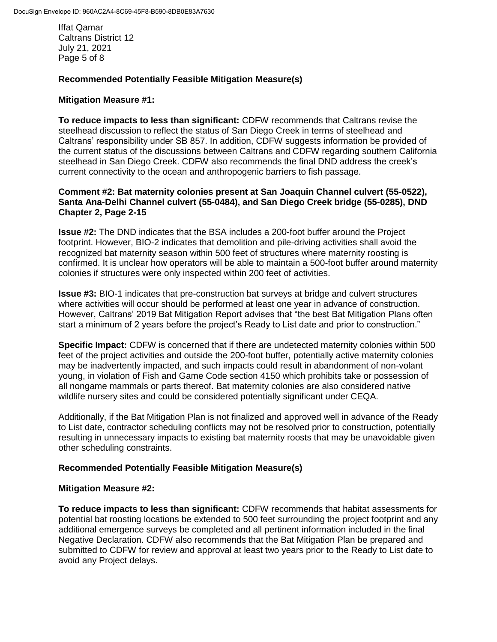Iffat Qamar Caltrans District 12 July 21, 2021 Page 5 of 8

#### **Recommended Potentially Feasible Mitigation Measure(s)**

#### **Mitigation Measure #1:**

**To reduce impacts to less than significant:** CDFW recommends that Caltrans revise the steelhead discussion to reflect the status of San Diego Creek in terms of steelhead and Caltrans' responsibility under SB 857. In addition, CDFW suggests information be provided of the current status of the discussions between Caltrans and CDFW regarding southern California steelhead in San Diego Creek. CDFW also recommends the final DND address the creek's current connectivity to the ocean and anthropogenic barriers to fish passage.

#### **Comment #2: Bat maternity colonies present at San Joaquin Channel culvert (55-0522), Santa Ana-Delhi Channel culvert (55-0484), and San Diego Creek bridge (55-0285), DND Chapter 2, Page 2-15**

**Issue #2:** The DND indicates that the BSA includes a 200-foot buffer around the Project footprint. However, BIO-2 indicates that demolition and pile-driving activities shall avoid the recognized bat maternity season within 500 feet of structures where maternity roosting is confirmed. It is unclear how operators will be able to maintain a 500-foot buffer around maternity colonies if structures were only inspected within 200 feet of activities.

**Issue #3:** BIO-1 indicates that pre-construction bat surveys at bridge and culvert structures where activities will occur should be performed at least one year in advance of construction. However, Caltrans' 2019 Bat Mitigation Report advises that "the best Bat Mitigation Plans often start a minimum of 2 years before the project's Ready to List date and prior to construction."

**Specific Impact:** CDFW is concerned that if there are undetected maternity colonies within 500 feet of the project activities and outside the 200-foot buffer, potentially active maternity colonies may be inadvertently impacted, and such impacts could result in abandonment of non-volant young, in violation of Fish and Game Code section 4150 which prohibits take or possession of all nongame mammals or parts thereof. Bat maternity colonies are also considered native wildlife nursery sites and could be considered potentially significant under CEQA.

Additionally, if the Bat Mitigation Plan is not finalized and approved well in advance of the Ready to List date, contractor scheduling conflicts may not be resolved prior to construction, potentially resulting in unnecessary impacts to existing bat maternity roosts that may be unavoidable given other scheduling constraints.

## **Recommended Potentially Feasible Mitigation Measure(s)**

#### **Mitigation Measure #2:**

**To reduce impacts to less than significant:** CDFW recommends that habitat assessments for potential bat roosting locations be extended to 500 feet surrounding the project footprint and any additional emergence surveys be completed and all pertinent information included in the final Negative Declaration. CDFW also recommends that the Bat Mitigation Plan be prepared and submitted to CDFW for review and approval at least two years prior to the Ready to List date to avoid any Project delays.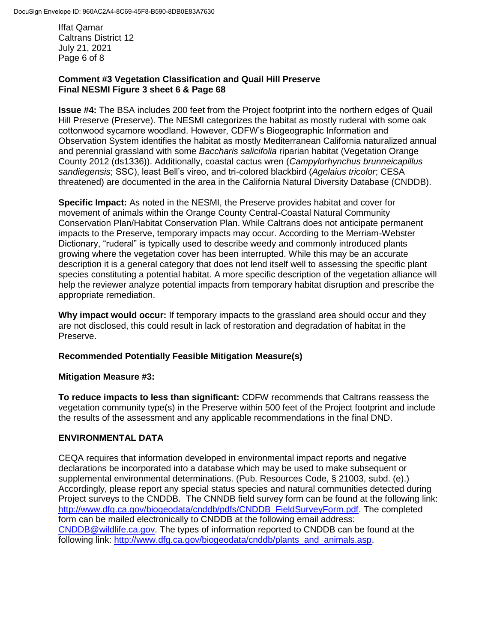Iffat Qamar Caltrans District 12 July 21, 2021 Page 6 of 8

## **Comment #3 Vegetation Classification and Quail Hill Preserve Final NESMI Figure 3 sheet 6 & Page 68**

**Issue #4:** The BSA includes 200 feet from the Project footprint into the northern edges of Quail Hill Preserve (Preserve). The NESMI categorizes the habitat as mostly ruderal with some oak cottonwood sycamore woodland. However, CDFW's Biogeographic Information and Observation System identifies the habitat as mostly Mediterranean California naturalized annual and perennial grassland with some *Baccharis salicifolia* riparian habitat (Vegetation Orange County 2012 (ds1336)). Additionally, coastal cactus wren (*Campylorhynchus brunneicapillus sandiegensis*; SSC), least Bell's vireo, and tri-colored blackbird (*Agelaius tricolor*; CESA threatened) are documented in the area in the California Natural Diversity Database (CNDDB).

**Specific Impact:** As noted in the NESMI, the Preserve provides habitat and cover for movement of animals within the Orange County Central-Coastal Natural Community Conservation Plan/Habitat Conservation Plan. While Caltrans does not anticipate permanent impacts to the Preserve, temporary impacts may occur. According to the Merriam-Webster Dictionary, "ruderal" is typically used to describe weedy and commonly introduced plants growing where the vegetation cover has been interrupted. While this may be an accurate description it is a general category that does not lend itself well to assessing the specific plant species constituting a potential habitat. A more specific description of the vegetation alliance will help the reviewer analyze potential impacts from temporary habitat disruption and prescribe the appropriate remediation.

**Why impact would occur:** If temporary impacts to the grassland area should occur and they are not disclosed, this could result in lack of restoration and degradation of habitat in the Preserve.

# **Recommended Potentially Feasible Mitigation Measure(s)**

## **Mitigation Measure #3:**

**To reduce impacts to less than significant:** CDFW recommends that Caltrans reassess the vegetation community type(s) in the Preserve within 500 feet of the Project footprint and include the results of the assessment and any applicable recommendations in the final DND.

## **ENVIRONMENTAL DATA**

CEQA requires that information developed in environmental impact reports and negative declarations be incorporated into a database which may be used to make subsequent or supplemental environmental determinations. (Pub. Resources Code, § 21003, subd. (e).) Accordingly, please report any special status species and natural communities detected during Project surveys to the CNDDB. The CNNDB field survey form can be found at the following link: [http://www.dfg.ca.gov/biogeodata/cnddb/pdfs/CNDDB\\_FieldSurveyForm.pdf.](http://www.dfg.ca.gov/biogeodata/cnddb/pdfs/CNDDB_FieldSurveyForm.pdf) The completed form can be mailed electronically to CNDDB at the following email address: [CNDDB@wildlife.ca.gov.](mailto:cnddb@dfg.ca.gov) The types of information reported to CNDDB can be found at the following link: [http://www.dfg.ca.gov/biogeodata/cnddb/plants\\_and\\_animals.asp.](http://www.dfg.ca.gov/biogeodata/cnddb/plants_and_animals.asp)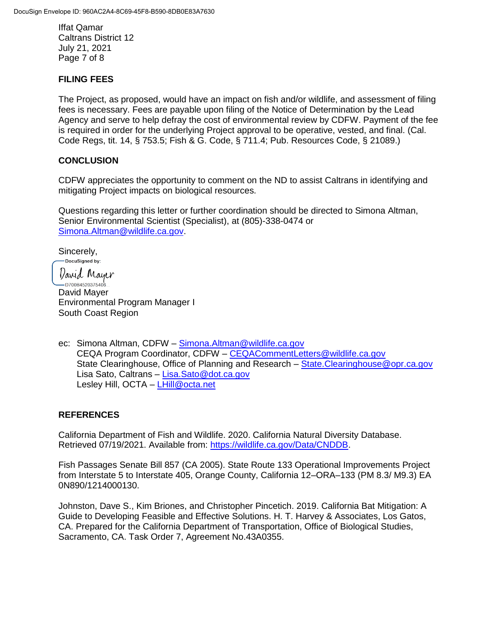Iffat Qamar Caltrans District 12 July 21, 2021 Page 7 of 8

#### **FILING FEES**

The Project, as proposed, would have an impact on fish and/or wildlife, and assessment of filing fees is necessary. Fees are payable upon filing of the Notice of Determination by the Lead Agency and serve to help defray the cost of environmental review by CDFW. Payment of the fee is required in order for the underlying Project approval to be operative, vested, and final. (Cal. Code Regs, tit. 14, § 753.5; Fish & G. Code, § 711.4; Pub. Resources Code, § 21089.)

#### **CONCLUSION**

CDFW appreciates the opportunity to comment on the ND to assist Caltrans in identifying and mitigating Project impacts on biological resources.

Questions regarding this letter or further coordination should be directed to Simona Altman, Senior Environmental Scientist (Specialist), at (805)-338-0474 or [Simona.Altman@wildlife.ca.gov.](mailto:Simona.Altman@wildlife.ca.gov)

Sincerely,

-DocuSigned by:

*Varid* Mayer ا<br>...D700B4520375406 David Mayer Environmental Program Manager I South Coast Region

ec: Simona Altman, CDFW – [Simona.Altman@wildlife.ca.gov](mailto:Simona.Altman@wildlife.ca.gov) CEQA Program Coordinator, CDFW – [CEQACommentLetters@wildlife.ca.gov](mailto:CEQACommentLetters@wildlife.ca.gov) State Clearinghouse, Office of Planning and Research – [State.Clearinghouse@opr.ca.gov](mailto:State.Clearinghouse@opr.ca.gov) Lisa Sato, Caltrans – [Lisa.Sato@dot.ca.gov](mailto:Lisa.Sato@dot.ca.gov) Lesley Hill, OCTA – [LHill@octa.net](mailto:LHill@octa.net)

## **REFERENCES**

California Department of Fish and Wildlife. 2020. California Natural Diversity Database. Retrieved 07/19/2021. Available from: [https://wildlife.ca.gov/Data/CNDDB.](https://wildlife.ca.gov/Data/CNDDB)

Fish Passages Senate Bill 857 (CA 2005). State Route 133 Operational Improvements Project from Interstate 5 to Interstate 405, Orange County, California 12–ORA–133 (PM 8.3/ M9.3) EA 0N890/1214000130.

Johnston, Dave S., Kim Briones, and Christopher Pincetich. 2019. California Bat Mitigation: A Guide to Developing Feasible and Effective Solutions. H. T. Harvey & Associates, Los Gatos, CA. Prepared for the California Department of Transportation, Office of Biological Studies, Sacramento, CA. Task Order 7, Agreement No.43A0355.